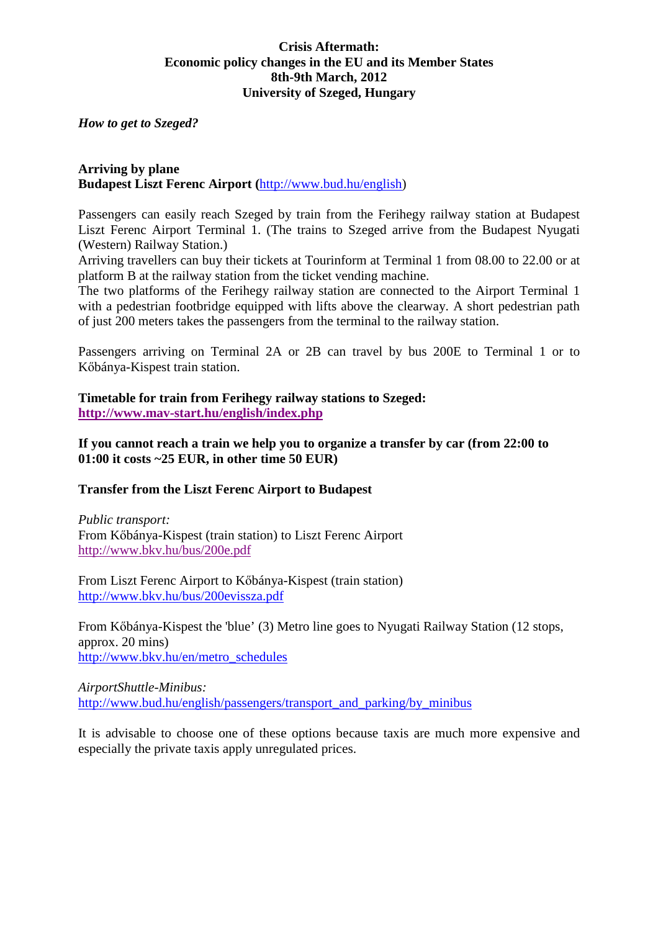### **Crisis Aftermath: Economic policy changes in the EU and its Member States 8th-9th March, 2012 University of Szeged, Hungary**

*How to get to Szeged?* 

#### **Arriving by plane Budapest Liszt Ferenc Airport (**http://www.bud.hu/english)

Passengers can easily reach Szeged by train from the Ferihegy railway station at Budapest Liszt Ferenc Airport Terminal 1. (The trains to Szeged arrive from the Budapest Nyugati (Western) Railway Station.)

Arriving travellers can buy their tickets at Tourinform at Terminal 1 from 08.00 to 22.00 or at platform B at the railway station from the ticket vending machine.

The two platforms of the Ferihegy railway station are connected to the Airport Terminal 1 with a pedestrian footbridge equipped with lifts above the clearway. A short pedestrian path of just 200 meters takes the passengers from the terminal to the railway station.

Passengers arriving on Terminal 2A or 2B can travel by bus 200E to Terminal 1 or to Kőbánya-Kispest train station.

**Timetable for train from Ferihegy railway stations to Szeged: http://www.mav-start.hu/english/index.php**

**If you cannot reach a train we help you to organize a transfer by car (from 22:00 to 01:00 it costs ~25 EUR, in other time 50 EUR)** 

### **Transfer from the Liszt Ferenc Airport to Budapest**

*Public transport:*  From Kőbánya-Kispest (train station) to Liszt Ferenc Airport http://www.bkv.hu/bus/200e.pdf

From Liszt Ferenc Airport to Kőbánya-Kispest (train station) http://www.bkv.hu/bus/200evissza.pdf

From Kőbánya-Kispest the 'blue' (3) Metro line goes to Nyugati Railway Station (12 stops, approx. 20 mins) http://www.bkv.hu/en/metro\_schedules

*AirportShuttle-Minibus:*  http://www.bud.hu/english/passengers/transport\_and\_parking/by\_minibus

It is advisable to choose one of these options because taxis are much more expensive and especially the private taxis apply unregulated prices.